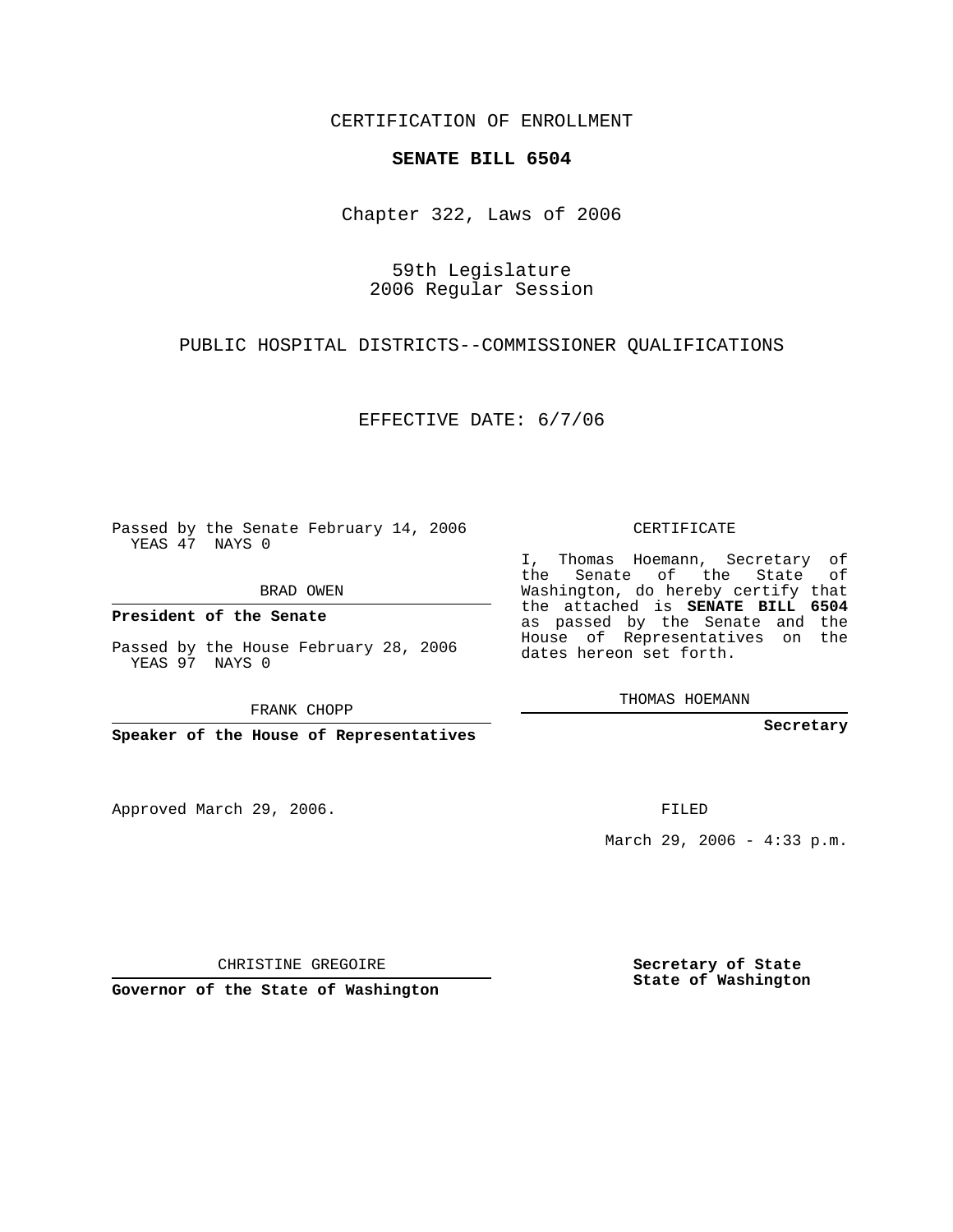CERTIFICATION OF ENROLLMENT

## **SENATE BILL 6504**

Chapter 322, Laws of 2006

59th Legislature 2006 Regular Session

PUBLIC HOSPITAL DISTRICTS--COMMISSIONER QUALIFICATIONS

EFFECTIVE DATE: 6/7/06

Passed by the Senate February 14, 2006 YEAS 47 NAYS 0

BRAD OWEN

**President of the Senate**

Passed by the House February 28, 2006 YEAS 97 NAYS 0

FRANK CHOPP

**Speaker of the House of Representatives**

Approved March 29, 2006.

CERTIFICATE

I, Thomas Hoemann, Secretary of the Senate of the State of Washington, do hereby certify that the attached is **SENATE BILL 6504** as passed by the Senate and the House of Representatives on the dates hereon set forth.

THOMAS HOEMANN

**Secretary**

FILED

March 29, 2006 - 4:33 p.m.

CHRISTINE GREGOIRE

**Governor of the State of Washington**

**Secretary of State State of Washington**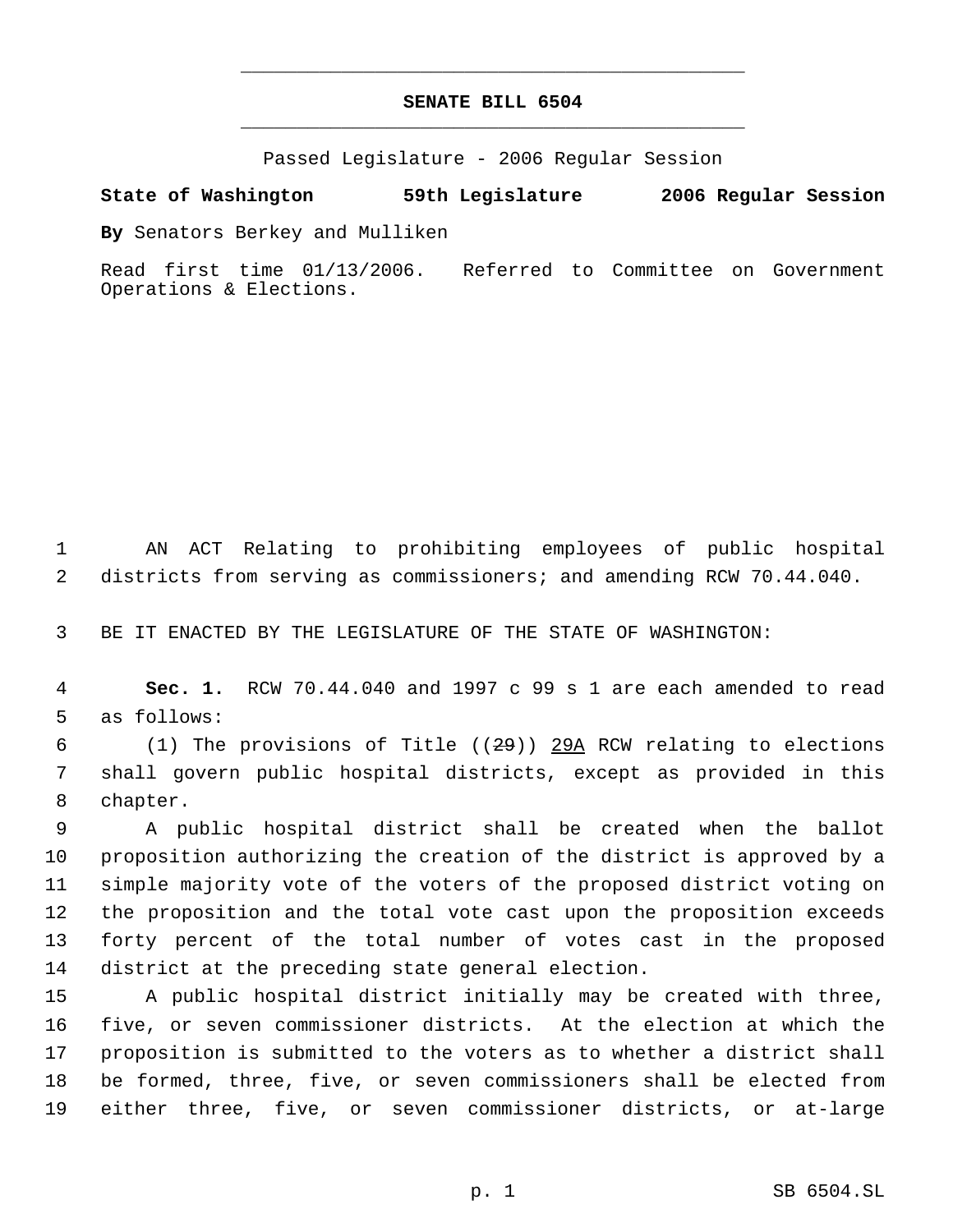## **SENATE BILL 6504** \_\_\_\_\_\_\_\_\_\_\_\_\_\_\_\_\_\_\_\_\_\_\_\_\_\_\_\_\_\_\_\_\_\_\_\_\_\_\_\_\_\_\_\_\_

\_\_\_\_\_\_\_\_\_\_\_\_\_\_\_\_\_\_\_\_\_\_\_\_\_\_\_\_\_\_\_\_\_\_\_\_\_\_\_\_\_\_\_\_\_

Passed Legislature - 2006 Regular Session

## **State of Washington 59th Legislature 2006 Regular Session**

**By** Senators Berkey and Mulliken

Read first time 01/13/2006. Referred to Committee on Government Operations & Elections.

 AN ACT Relating to prohibiting employees of public hospital districts from serving as commissioners; and amending RCW 70.44.040.

BE IT ENACTED BY THE LEGISLATURE OF THE STATE OF WASHINGTON:

 **Sec. 1.** RCW 70.44.040 and 1997 c 99 s 1 are each amended to read as follows:

6 (1) The provisions of Title  $((29))$  29A RCW relating to elections shall govern public hospital districts, except as provided in this chapter.

 A public hospital district shall be created when the ballot proposition authorizing the creation of the district is approved by a simple majority vote of the voters of the proposed district voting on the proposition and the total vote cast upon the proposition exceeds forty percent of the total number of votes cast in the proposed district at the preceding state general election.

 A public hospital district initially may be created with three, five, or seven commissioner districts. At the election at which the proposition is submitted to the voters as to whether a district shall be formed, three, five, or seven commissioners shall be elected from either three, five, or seven commissioner districts, or at-large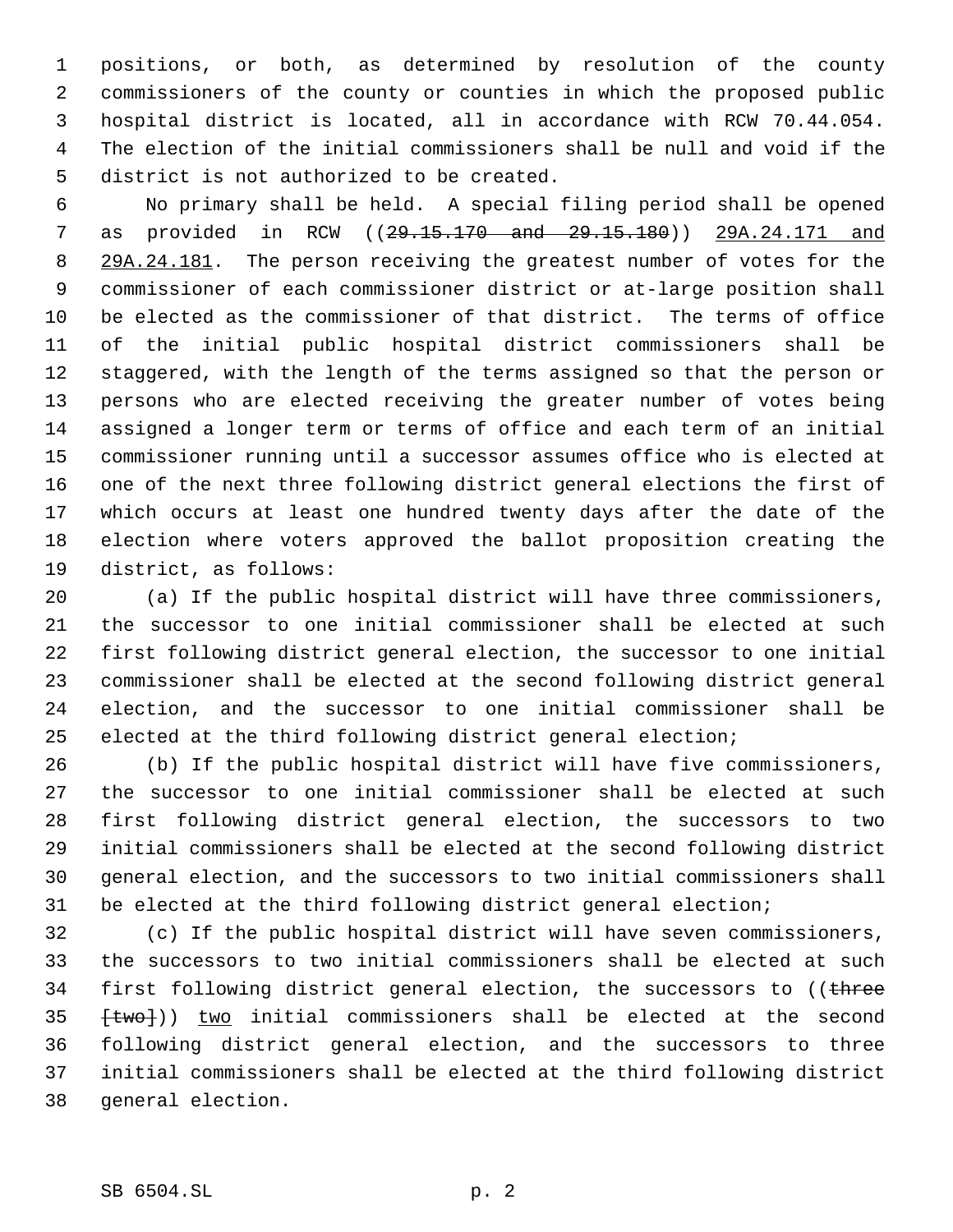positions, or both, as determined by resolution of the county commissioners of the county or counties in which the proposed public hospital district is located, all in accordance with RCW 70.44.054. The election of the initial commissioners shall be null and void if the district is not authorized to be created.

 No primary shall be held. A special filing period shall be opened 7 as provided in RCW ((29.15.170 and 29.15.180)) 29A.24.171 and 8 29A.24.181. The person receiving the greatest number of votes for the commissioner of each commissioner district or at-large position shall be elected as the commissioner of that district. The terms of office of the initial public hospital district commissioners shall be staggered, with the length of the terms assigned so that the person or persons who are elected receiving the greater number of votes being assigned a longer term or terms of office and each term of an initial commissioner running until a successor assumes office who is elected at one of the next three following district general elections the first of which occurs at least one hundred twenty days after the date of the election where voters approved the ballot proposition creating the district, as follows:

 (a) If the public hospital district will have three commissioners, the successor to one initial commissioner shall be elected at such first following district general election, the successor to one initial commissioner shall be elected at the second following district general election, and the successor to one initial commissioner shall be elected at the third following district general election;

 (b) If the public hospital district will have five commissioners, the successor to one initial commissioner shall be elected at such first following district general election, the successors to two initial commissioners shall be elected at the second following district general election, and the successors to two initial commissioners shall be elected at the third following district general election;

 (c) If the public hospital district will have seven commissioners, the successors to two initial commissioners shall be elected at such 34 first following district general election, the successors to ((three  $+$ two])) two initial commissioners shall be elected at the second following district general election, and the successors to three initial commissioners shall be elected at the third following district general election.